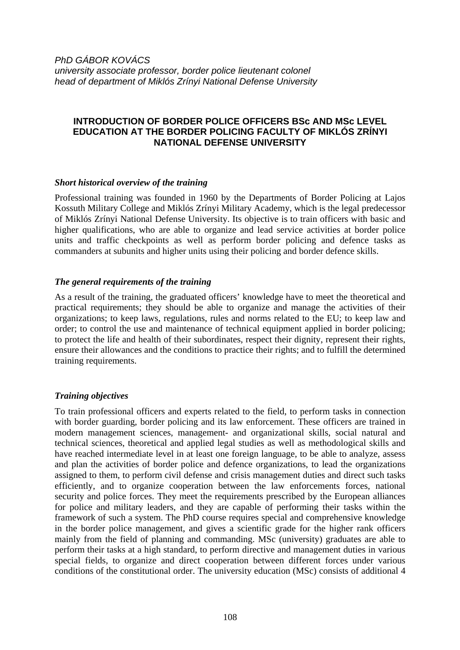*PhD GÁBOR KOVÁCS university associate professor, border police lieutenant colonel head of department of Miklós Zrínyi National Defense University* 

# **INTRODUCTION OF BORDER POLICE OFFICERS BSc AND MSc LEVEL EDUCATION AT THE BORDER POLICING FACULTY OF MIKLÓS ZRÍNYI NATIONAL DEFENSE UNIVERSITY**

#### *Short historical overview of the training*

Professional training was founded in 1960 by the Departments of Border Policing at Lajos Kossuth Military College and Miklós Zrínyi Military Academy, which is the legal predecessor of Miklós Zrínyi National Defense University. Its objective is to train officers with basic and higher qualifications, who are able to organize and lead service activities at border police units and traffic checkpoints as well as perform border policing and defence tasks as commanders at subunits and higher units using their policing and border defence skills.

## *The general requirements of the training*

As a result of the training, the graduated officers' knowledge have to meet the theoretical and practical requirements; they should be able to organize and manage the activities of their organizations; to keep laws, regulations, rules and norms related to the EU; to keep law and order; to control the use and maintenance of technical equipment applied in border policing; to protect the life and health of their subordinates, respect their dignity, represent their rights, ensure their allowances and the conditions to practice their rights; and to fulfill the determined training requirements.

### *Training objectives*

To train professional officers and experts related to the field, to perform tasks in connection with border guarding, border policing and its law enforcement. These officers are trained in modern management sciences, management- and organizational skills, social natural and technical sciences, theoretical and applied legal studies as well as methodological skills and have reached intermediate level in at least one foreign language, to be able to analyze, assess and plan the activities of border police and defence organizations, to lead the organizations assigned to them, to perform civil defense and crisis management duties and direct such tasks efficiently, and to organize cooperation between the law enforcements forces, national security and police forces. They meet the requirements prescribed by the European alliances for police and military leaders, and they are capable of performing their tasks within the framework of such a system. The PhD course requires special and comprehensive knowledge in the border police management, and gives a scientific grade for the higher rank officers mainly from the field of planning and commanding. MSc (university) graduates are able to perform their tasks at a high standard, to perform directive and management duties in various special fields, to organize and direct cooperation between different forces under various conditions of the constitutional order. The university education (MSc) consists of additional 4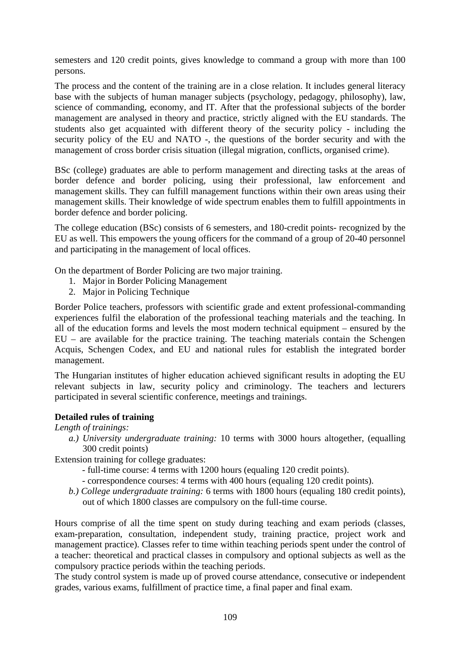semesters and 120 credit points, gives knowledge to command a group with more than 100 persons.

The process and the content of the training are in a close relation. It includes general literacy base with the subjects of human manager subjects (psychology, pedagogy, philosophy), law, science of commanding, economy, and IT. After that the professional subjects of the border management are analysed in theory and practice, strictly aligned with the EU standards. The students also get acquainted with different theory of the security policy - including the security policy of the EU and NATO -, the questions of the border security and with the management of cross border crisis situation (illegal migration, conflicts, organised crime).

BSc (college) graduates are able to perform management and directing tasks at the areas of border defence and border policing, using their professional, law enforcement and management skills. They can fulfill management functions within their own areas using their management skills. Their knowledge of wide spectrum enables them to fulfill appointments in border defence and border policing.

The college education (BSc) consists of 6 semesters, and 180-credit points- recognized by the EU as well. This empowers the young officers for the command of a group of 20-40 personnel and participating in the management of local offices.

On the department of Border Policing are two major training.

- 1. Major in Border Policing Management
- 2. Major in Policing Technique

Border Police teachers, professors with scientific grade and extent professional-commanding experiences fulfil the elaboration of the professional teaching materials and the teaching. In all of the education forms and levels the most modern technical equipment – ensured by the EU – are available for the practice training. The teaching materials contain the Schengen Acquis, Schengen Codex, and EU and national rules for establish the integrated border management.

The Hungarian institutes of higher education achieved significant results in adopting the EU relevant subjects in law, security policy and criminology. The teachers and lecturers participated in several scientific conference, meetings and trainings.

### **Detailed rules of training**

### *Length of trainings:*

*a.) University undergraduate training:* 10 terms with 3000 hours altogether, (equalling 300 credit points)

Extension training for college graduates:

- full-time course: 4 terms with 1200 hours (equaling 120 credit points).
- correspondence courses: 4 terms with 400 hours (equaling 120 credit points).
- *b.) College undergraduate training:* 6 terms with 1800 hours (equaling 180 credit points), out of which 1800 classes are compulsory on the full-time course.

Hours comprise of all the time spent on study during teaching and exam periods (classes, exam-preparation, consultation, independent study, training practice, project work and management practice). Classes refer to time within teaching periods spent under the control of a teacher: theoretical and practical classes in compulsory and optional subjects as well as the compulsory practice periods within the teaching periods.

The study control system is made up of proved course attendance, consecutive or independent grades, various exams, fulfillment of practice time, a final paper and final exam.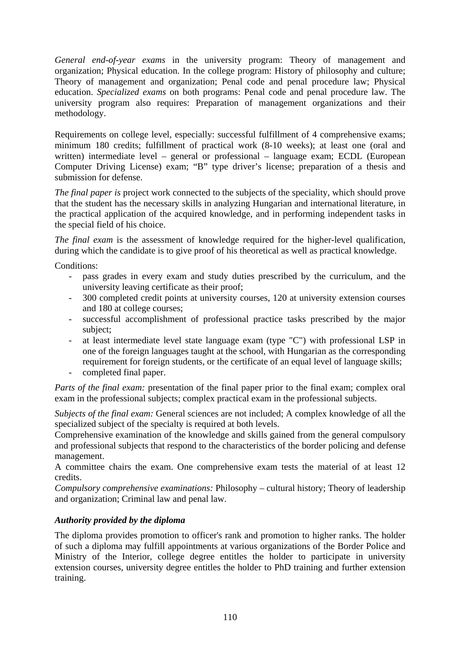*General end-of-year exams* in the university program: Theory of management and organization; Physical education. In the college program: History of philosophy and culture; Theory of management and organization; Penal code and penal procedure law; Physical education. *Specialized exams* on both programs: Penal code and penal procedure law. The university program also requires: Preparation of management organizations and their methodology.

Requirements on college level, especially: successful fulfillment of 4 comprehensive exams; minimum 180 credits; fulfillment of practical work (8-10 weeks); at least one (oral and written) intermediate level – general or professional – language exam; ECDL (European Computer Driving License) exam; "B" type driver's license; preparation of a thesis and submission for defense.

*The final paper is* project work connected to the subjects of the speciality, which should prove that the student has the necessary skills in analyzing Hungarian and international literature, in the practical application of the acquired knowledge, and in performing independent tasks in the special field of his choice.

*The final exam* is the assessment of knowledge required for the higher-level qualification, during which the candidate is to give proof of his theoretical as well as practical knowledge.

Conditions:

- pass grades in every exam and study duties prescribed by the curriculum, and the university leaving certificate as their proof;
- 300 completed credit points at university courses, 120 at university extension courses and 180 at college courses;
- successful accomplishment of professional practice tasks prescribed by the major subject;
- at least intermediate level state language exam (type "C") with professional LSP in one of the foreign languages taught at the school, with Hungarian as the corresponding requirement for foreign students, or the certificate of an equal level of language skills;
- completed final paper.

*Parts of the final exam:* presentation of the final paper prior to the final exam; complex oral exam in the professional subjects; complex practical exam in the professional subjects.

*Subjects of the final exam:* General sciences are not included; A complex knowledge of all the specialized subject of the specialty is required at both levels.

Comprehensive examination of the knowledge and skills gained from the general compulsory and professional subjects that respond to the characteristics of the border policing and defense management.

A committee chairs the exam. One comprehensive exam tests the material of at least 12 credits.

*Compulsory comprehensive examinations:* Philosophy – cultural history; Theory of leadership and organization; Criminal law and penal law.

# *Authority provided by the diploma*

The diploma provides promotion to officer's rank and promotion to higher ranks. The holder of such a diploma may fulfill appointments at various organizations of the Border Police and Ministry of the Interior, college degree entitles the holder to participate in university extension courses, university degree entitles the holder to PhD training and further extension training.